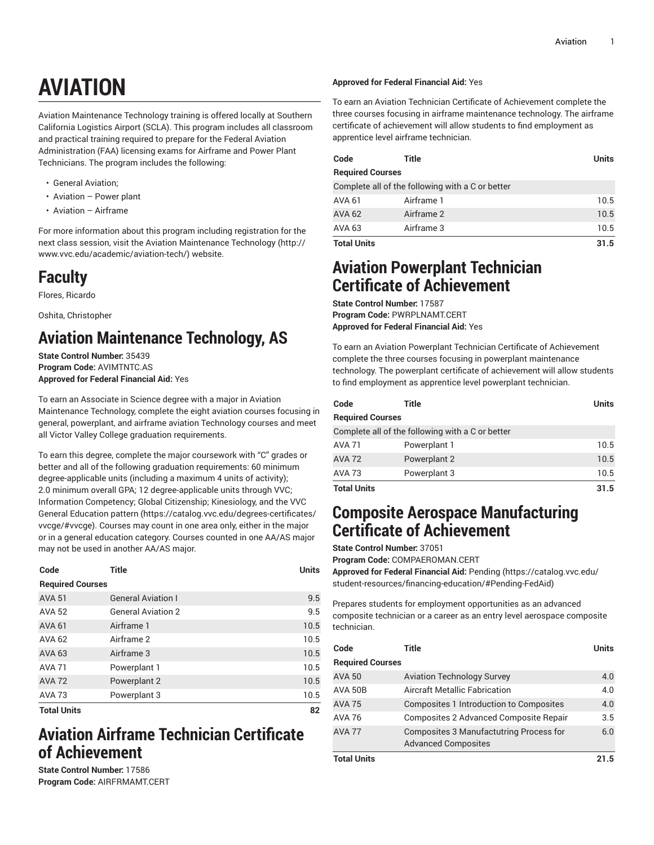# **AVIATION**

Aviation Maintenance Technology training is offered locally at Southern California Logistics Airport (SCLA). This program includes all classroom and practical training required to prepare for the Federal Aviation Administration (FAA) licensing exams for Airframe and Power Plant Technicians. The program includes the following:

- General Aviation;
- Aviation Power plant
- Aviation Airframe

For more information about this program including registration for the next class session, visit the Aviation [Maintenance](http://www.vvc.edu/academic/aviation-tech/) Technology ([http://](http://www.vvc.edu/academic/aviation-tech/) [www.vvc.edu/academic/aviation-tech/](http://www.vvc.edu/academic/aviation-tech/)) website.

# **Faculty**

Flores, Ricardo

Oshita, Christopher

# **Aviation Maintenance Technology, AS**

**State Control Number:** 35439 **Program Code:** AVIMTNTC.AS **Approved for Federal Financial Aid:** Yes

To earn an Associate in Science degree with a major in Aviation Maintenance Technology, complete the eight aviation courses focusing in general, powerplant, and airframe aviation Technology courses and meet all Victor Valley College graduation requirements.

To earn this degree, complete the major coursework with "C" grades or better and all of the following graduation requirements: 60 minimum degree-applicable units (including a maximum 4 units of activity); 2.0 minimum overall GPA; 12 degree-applicable units through VVC; Information Competency; Global Citizenship; Kinesiology, and the [VVC](https://catalog.vvc.edu/degrees-certificates/vvcge/#vvcge) General [Education](https://catalog.vvc.edu/degrees-certificates/vvcge/#vvcge) pattern [\(https://catalog.vvc.edu/degrees-certificates/](https://catalog.vvc.edu/degrees-certificates/vvcge/#vvcge) [vvcge/#vvcge](https://catalog.vvc.edu/degrees-certificates/vvcge/#vvcge)). Courses may count in one area only, either in the major or in a general education category. Courses counted in one AA/AS major may not be used in another AA/AS major.

| Code                    | <b>Title</b>              | <b>Units</b> |
|-------------------------|---------------------------|--------------|
| <b>Required Courses</b> |                           |              |
| <b>AVA 51</b>           | <b>General Aviation I</b> | 9.5          |
| <b>AVA 52</b>           | <b>General Aviation 2</b> | 9.5          |
| <b>AVA 61</b>           | Airframe 1                | 10.5         |
| <b>AVA 62</b>           | Airframe 2                | 10.5         |
| AVA 63                  | Airframe 3                | 10.5         |
| <b>AVA 71</b>           | Powerplant 1              | 10.5         |
| <b>AVA 72</b>           | Powerplant 2              | 10.5         |
| <b>AVA 73</b>           | Powerplant 3              | 10.5         |
| <b>Total Units</b>      | 82                        |              |

# **Aviation Airframe Technician Certificate of Achievement**

**State Control Number:** 17586 **Program Code:** AIRFRMAMT.CERT

#### **Approved for Federal Financial Aid:** Yes

To earn an Aviation Technician Certificate of Achievement complete the three courses focusing in airframe maintenance technology. The airframe certificate of achievement will allow students to find employment as apprentice level airframe technician.

| Code                    | Title                                            | Units |
|-------------------------|--------------------------------------------------|-------|
| <b>Required Courses</b> |                                                  |       |
|                         | Complete all of the following with a C or better |       |
| AVA 61                  | Airframe 1                                       | 10.5  |
| AVA 62                  | Airframe 2                                       | 10.5  |
| AVA 63                  | Airframe 3                                       | 10.5  |
| <b>Total Units</b>      | 31.5                                             |       |

### **Aviation Powerplant Technician Certificate of Achievement**

**State Control Number:** 17587 **Program Code:** PWRPLNAMT.CERT **Approved for Federal Financial Aid:** Yes

To earn an Aviation Powerplant Technician Certificate of Achievement complete the three courses focusing in powerplant maintenance technology. The powerplant certificate of achievement will allow students to find employment as apprentice level powerplant technician.

| Code                    | Title                                            | <b>Units</b> |
|-------------------------|--------------------------------------------------|--------------|
| <b>Required Courses</b> |                                                  |              |
|                         | Complete all of the following with a C or better |              |
| <b>AVA 71</b>           | Powerplant 1                                     | 10.5         |
| <b>AVA 72</b>           | Powerplant 2                                     | 10.5         |
| AVA 73                  | Powerplant 3                                     | 10.5         |
| <b>Total Units</b>      |                                                  | 31.5         |

# **Composite Aerospace Manufacturing Certificate of Achievement**

**State Control Number:** 37051

**Program Code:** COMPAEROMAN.CERT

**Approved for Federal Financial Aid:** [Pending \(https://catalog.vvc.edu/](https://catalog.vvc.edu/student-resources/financing-education/#Pending-FedAid) [student-resources/financing-education/#Pending-FedAid](https://catalog.vvc.edu/student-resources/financing-education/#Pending-FedAid))

Prepares students for employment opportunities as an advanced composite technician or a career as an entry level aerospace composite technician.

| Code                    | Title                                                                 | Units |
|-------------------------|-----------------------------------------------------------------------|-------|
| <b>Required Courses</b> |                                                                       |       |
| AVA 50                  | <b>Aviation Technology Survey</b>                                     | 4.0   |
| AVA 50B                 | <b>Aircraft Metallic Fabrication</b>                                  | 4.0   |
| <b>AVA 75</b>           | Composites 1 Introduction to Composites                               | 4.0   |
| AVA 76                  | Composites 2 Advanced Composite Repair                                | 3.5   |
| <b>AVA 77</b>           | Composites 3 Manufactutring Process for<br><b>Advanced Composites</b> | 6.0   |
| Total Units             |                                                                       | 21.5  |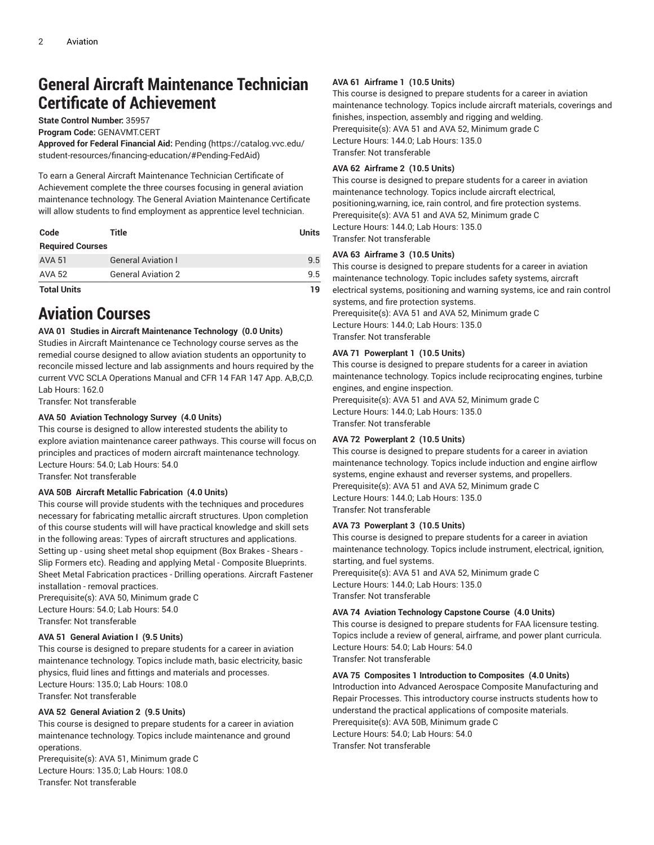# **General Aircraft Maintenance Technician Certificate of Achievement**

**State Control Number:** 35957

**Program Code:** GENAVMT.CERT

**Approved for Federal Financial Aid:** [Pending](https://catalog.vvc.edu/student-resources/financing-education/#Pending-FedAid) ([https://catalog.vvc.edu/](https://catalog.vvc.edu/student-resources/financing-education/#Pending-FedAid) [student-resources/financing-education/#Pending-FedAid\)](https://catalog.vvc.edu/student-resources/financing-education/#Pending-FedAid)

To earn a General Aircraft Maintenance Technician Certificate of Achievement complete the three courses focusing in general aviation maintenance technology. The General Aviation Maintenance Certificate will allow students to find employment as apprentice level technician.

| Code                    | Title                     | <b>Units</b> |
|-------------------------|---------------------------|--------------|
| <b>Required Courses</b> |                           |              |
| AVA 51                  | <b>General Aviation I</b> | 9.5          |
| AVA 52                  | <b>General Aviation 2</b> | 9.5          |
| <b>Total Units</b>      |                           | 19           |

# **Aviation Courses**

#### **AVA 01 Studies in Aircraft Maintenance Technology (0.0 Units)**

Studies in Aircraft Maintenance ce Technology course serves as the remedial course designed to allow aviation students an opportunity to reconcile missed lecture and lab assignments and hours required by the current VVC SCLA Operations Manual and CFR 14 FAR 147 App. A,B,C,D. Lab Hours: 162.0

Transfer: Not transferable

#### **AVA 50 Aviation Technology Survey (4.0 Units)**

This course is designed to allow interested students the ability to explore aviation maintenance career pathways. This course will focus on principles and practices of modern aircraft maintenance technology. Lecture Hours: 54.0; Lab Hours: 54.0

Transfer: Not transferable

#### **AVA 50B Aircraft Metallic Fabrication (4.0 Units)**

This course will provide students with the techniques and procedures necessary for fabricating metallic aircraft structures. Upon completion of this course students will will have practical knowledge and skill sets in the following areas: Types of aircraft structures and applications. Setting up - using sheet metal shop equipment (Box Brakes - Shears - Slip Formers etc). Reading and applying Metal - Composite Blueprints. Sheet Metal Fabrication practices - Drilling operations. Aircraft Fastener installation - removal practices.

Prerequisite(s): AVA 50, Minimum grade C Lecture Hours: 54.0; Lab Hours: 54.0 Transfer: Not transferable

#### **AVA 51 General Aviation I (9.5 Units)**

This course is designed to prepare students for a career in aviation maintenance technology. Topics include math, basic electricity, basic physics, fluid lines and fittings and materials and processes. Lecture Hours: 135.0; Lab Hours: 108.0 Transfer: Not transferable

#### **AVA 52 General Aviation 2 (9.5 Units)**

This course is designed to prepare students for a career in aviation maintenance technology. Topics include maintenance and ground operations.

Prerequisite(s): AVA 51, Minimum grade C Lecture Hours: 135.0; Lab Hours: 108.0 Transfer: Not transferable

#### **AVA 61 Airframe 1 (10.5 Units)**

This course is designed to prepare students for a career in aviation maintenance technology. Topics include aircraft materials, coverings and finishes, inspection, assembly and rigging and welding. Prerequisite(s): AVA 51 and AVA 52, Minimum grade C Lecture Hours: 144.0; Lab Hours: 135.0 Transfer: Not transferable

#### **AVA 62 Airframe 2 (10.5 Units)**

This course is designed to prepare students for a career in aviation maintenance technology. Topics include aircraft electrical, positioning,warning, ice, rain control, and fire protection systems. Prerequisite(s): AVA 51 and AVA 52, Minimum grade C Lecture Hours: 144.0; Lab Hours: 135.0 Transfer: Not transferable

#### **AVA 63 Airframe 3 (10.5 Units)**

This course is designed to prepare students for a career in aviation maintenance technology. Topic includes safety systems, aircraft electrical systems, positioning and warning systems, ice and rain control systems, and fire protection systems. Prerequisite(s): AVA 51 and AVA 52, Minimum grade C Lecture Hours: 144.0; Lab Hours: 135.0 Transfer: Not transferable

#### **AVA 71 Powerplant 1 (10.5 Units)**

This course is designed to prepare students for a career in aviation maintenance technology. Topics include reciprocating engines, turbine engines, and engine inspection. Prerequisite(s): AVA 51 and AVA 52, Minimum grade C Lecture Hours: 144.0; Lab Hours: 135.0 Transfer: Not transferable

#### **AVA 72 Powerplant 2 (10.5 Units)**

This course is designed to prepare students for a career in aviation maintenance technology. Topics include induction and engine airflow systems, engine exhaust and reverser systems, and propellers. Prerequisite(s): AVA 51 and AVA 52, Minimum grade C Lecture Hours: 144.0; Lab Hours: 135.0 Transfer: Not transferable

#### **AVA 73 Powerplant 3 (10.5 Units)**

This course is designed to prepare students for a career in aviation maintenance technology. Topics include instrument, electrical, ignition, starting, and fuel systems. Prerequisite(s): AVA 51 and AVA 52, Minimum grade C Lecture Hours: 144.0; Lab Hours: 135.0 Transfer: Not transferable

#### **AVA 74 Aviation Technology Capstone Course (4.0 Units)**

This course is designed to prepare students for FAA licensure testing. Topics include a review of general, airframe, and power plant curricula. Lecture Hours: 54.0; Lab Hours: 54.0 Transfer: Not transferable

#### **AVA 75 Composites 1 Introduction to Composites (4.0 Units)**

Introduction into Advanced Aerospace Composite Manufacturing and Repair Processes. This introductory course instructs students how to understand the practical applications of composite materials. Prerequisite(s): AVA 50B, Minimum grade C Lecture Hours: 54.0; Lab Hours: 54.0 Transfer: Not transferable